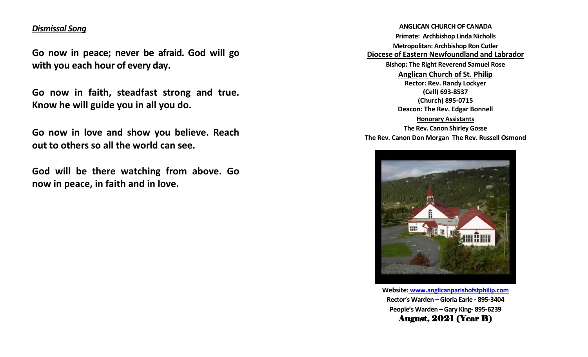# *Dismissal Song*

**Go now in peace; never be afraid. God will go with you each hour of every day.**

**Go now in faith, steadfast strong and true. Know he will guide you in all you do.**

**Go now in love and show you believe. Reach out to others so all the world can see.**

**God will be there watching from above. Go now in peace, in faith and in love.**

## **ANGLICAN CHURCH OF CANADA**

**Primate: Archbishop Linda Nicholls Metropolitan: Archbishop Ron Cutler Diocese of Eastern Newfoundland and Labrador Bishop: The Right Reverend Samuel Rose Anglican Church of St. Philip Rector: Rev. Randy Lockyer (Cell) 693-8537 (Church) 895-0715 Deacon: The Rev. Edgar Bonnell Honorary Assistants The Rev. Canon Shirley Gosse The Rev. Canon Don Morgan The Rev. Russell Osmond**



**Website: [www.anglicanparishofstphilip.com](http://www.anglicanparishofstphilip.com/) Rector's Warden – Gloria Earle - 895-3404 People's Warden – Gary King- 895-6239** August, 2021 (Year B)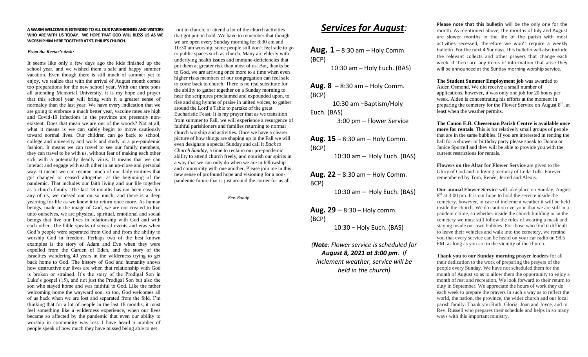#### **A WARM WELCOME IS EXTENDED TO ALL OUR PARISHIONERS AND VISITORS WHO ARE WITH US TODAY. WE HOPE THAT GOD WILL BLESS US AS WE WORSHIP HIM HERE TOGETHER AT ST. PHILIP'S CHURCH.**

#### *From the Rector's desk:*

It seems like only a few days ago the kids finished up the school year, and we wished them a safe and happy summer vacation. Even though there is still much of summer yet to enjoy, we realize that with the arrival of August month comes too preparations for the new school year. With our three sons all attending Memorial University, it is my hope and prayer that this school year will bring with it a greater sense of normalcy than the last year. We have every indication that we are going to embrace a much better year, vaccine rates are high and Covid-19 infections in the province are presently nonexistent. Does that mean we are out of the woods? Not at all, what it means is we can safely begin to move cautiously toward normal lives. Our children can go back to school, college and university and work and study in a pre-pandemic fashion. It means we can travel to see our family members, they can travel to be with us, without fear of making each other sick with a potentially deadly virus. It means that we can interact and engage with each other in an up-close and personal way. It means we can resume much of our daily routines that got changed or ceased altogether at the beginning of the pandemic. That includes our faith living and our life together as a church family. The last 18 months has not been easy for any of us, we missed out on so much, and there is a deep yearning for life as we knew it to return once more. As human beings, made in the image of God, we are not created to live unto ourselves, we are physical, spiritual, emotional and social beings that live our lives in relationship with God and with each other. The bible speaks of several events and eras when God's people were separated from God and from the ability to worship God in freedom. Perhaps two of the best known examples is the story of Adam and Eve when they were expelled from the Garden of Eden, and the story of the Israelites wandering 40 years in the wilderness trying to get back home to God. The history of God and humanity shows how destructive our lives are when that relationship with God is broken or strained. It's the story of the Prodigal Son in Luke's gospel (15), and not just the Prodigal Son but also the son who stayed home and was faithful to God. Like the father welcoming home the wayward son, so too, God welcomes all of us back when we are lost and separated from the fold. I'm thinking that for a lot of people in the last 18 months, it must feel something like a wilderness experience, when our lives became so affected by the pandemic that even our ability to worship in community was lost. I have heard a number of people speak of how much they have missed being able to get

 out to church, or attend a lot of the church activities that got put on hold. We have to remember that though we are open every Sunday morning for 8:30 am and 10:30 am worship, some people still don't feel safe to go to public spaces such as church. Many are elderly with underlying health issues and immune-deficiencies that put them at greater risk than most of us. But, thanks be to God, we are arriving once more to a time when even higher risks members of our congregation can feel safe to come back to church. There is no real substitute for the ability to gather together on a Sunday morning to hear the scriptures proclaimed and expounded upon, to rise and sing hymns of praise in united voices, to gather around the Lord's Table to partake of the great Eucharistic Feast. It is my prayer that as we transition from summer to Fall, we will experience a resurgence of faithful parishioners and families returning to normal church worship and activities. Once we have a clearer picture of how things are shaping up in the Fall we will even designate a special Sunday and call it *Back to Church Sunday*, a time to reclaim our pre-pandemic ability to attend church freely, and nourish our spirits in a way that we can only do when we are in fellowship and community with one another. Please join me in this new sense of profound hope and visioning for a nonpandemic future that is just around the corner for us all.

*Rev. Randy*

# *Services for August:*

**Aug. 1** – 8:30 am – Holy Comm. (BCP)

10:30 am – Holy Euch. (BAS)

**Aug. 8** – 8:30 am – Holy Comm. (BCP)

 10:30 am –Baptism/Holy Euch. (BAS)

3:00 pm – Flower Service

**Aug. 15** – 8:30 am – Holy Comm. (BCP)

10:30 am – Holy Euch. (BAS)

**Aug. 22** – 8:30 am – Holy Comm. BCP)

10:30 am – Holy Euch. (BAS)

**Aug. 29**  $-$  8:30  $-$  Holy comm. (BCP)

10:30 – Holy Euch. (BAS)

*(Note: Flower service is scheduled for August 8, 2021 at 3:00 pm. If inclement weather, service will be* 

*held in the church)*

**Please note that this bulletin** will be the only one for the month. As mentioned above, the months of July and August are slower months in the life of the parish with most activities recessed, therefore we won't require a weekly bulletin. For the next 4 Sundays, this bulletin will also include the relevant collects and other prayers that change each week. If there are any items of information that arise they will be announced at the Sunday morning worship service.

**The Student Summer Employment job** was awarded to Aiden Osmond. We did receive a small number of applications, however, it was only one job for 20 hours per week. Aiden is concentrating his efforts at the moment in preparing the cemetery for the Flower Service on August  $8<sup>th</sup>$ , at least when the weather permits.

**The Canon E.B. Cheeseman Parish Centre is available once more for rentals**. This is for relatively small groups of people that are in the same bubbles. If you are interested in renting the hall for a shower or birthday party please speak to Donna or Janice Spurrell and they will be able to provide you with the current restrictions for rentals.

**Flowers on the Altar for Flower Service** are given to the Glory of God and in loving memory of Leila Tulk. Forever remembered by Tom, Renée, Jerred and Alexis.

**Our annual Flower Service** will take place on Sunday, August 8<sup>th</sup> at 3:00 pm. It is our hope to hold the service inside the cemetery, however, in case of inclement weather it will be held inside the church. We do caution everyone that we are still in a pandemic time, so whether inside the church building or in the cemetery we must still follow the rules of wearing a mask and staying inside our own bubbles. For those who find it difficult to leave their vehicles and walk into the cemetery, we remind you that every service can be heard on your car radio on 98.5 FM, as long as you are in the vicinity of the church.

**Thank you to our Sunday morning prayer leaders** for all their dedication to the work of preparing the prayers of the people every Sunday. We have not scheduled them for the month of August so as to allow them the opportunity to enjoy a month of rest and recreation. We look forward to their return to duty in September. We appreciate the hours of work they do each week to prepare the prayers in such a way as to reflect the world, the nation, the province, the wider church and our local parish family. Thank you Ruth, Gloria, Joan and Joyce, and to Rev. Russell who prepares their schedule and helps in so many ways with this important ministry.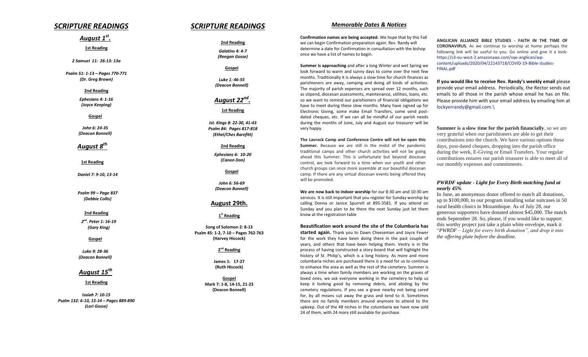## *SCRIPTURE READINGS*

# *August 1 st .*

**1st Reading**

*2 Samuel 11: 26-13: 13a*

*Psalm 51: 1-13 – Pages 770-771 (Dr. Greg Brown)*

#### **2nd Reading**

*Ephesians 4: 1-16 (Joyce Keeping)*

#### **Gospel**

*John 6: 24-35 (Deacon Bonnell)*

*August 8th*

**1st Reading**

*Daniel 7: 9-10, 13-14*

*Psalm 99 – Page 837 (Debbie Collis)*

**2nd Reading**

*2 nd. Peter 1: 16-19 (Gary King)*

#### **Gospel**

*Luke 9: 28-36 (Deacon Bonnell)*

## *August 15th*

**1st Reading**

*Isaiah 7: 10-15 Psalm 132: 6-10, 13-14 – Pages 889-890 (Lori Gosse)*

## *SCRIPTURE READINGS*

**2nd Reading** *Galatins 4: 4-7 (Reegan Gosse)*

**Gospel**

*Luke 1: 46-55 (Deacon Bonnell)*

 *August 22nd .*

#### **1st Reading**

*Ist. Kings 8: 22-30, 41-43 Psalm 84: Pages 817-818 (Ethel/Ches Barefitt)*

**2nd Reading**

*Ephesians 6: 10-20 (Canon Don)*

**Gospel**

*John 6: 56-69 (Deacon Bonnell)*

### **August 29th.**

**1 st Reading**

**Song of Solomon 2: 8-13 Psalm 45: 1-2, 7-10 – Pages 762-763 (Harvey Hiscock)**

#### **2 nd Reading**

**James 1: 17-27 (Ruth Hiscock)**

**Gospel Mark 7: 1-8, 14-15, 21-23 (Deacon Bonnell)**

### *Memorable Dates & Notices*

**Confirmation names are being accepted.** We hope that by this Fall we can begin Confirmation preparation again. Rev. Randy will determine a date for Confirmation in consultation with the bishop once we have a list of names to begin.

**Summer is approaching** and after a long Winter and wet Spring we look forward to warm and sunny days to come over the next few months. Traditionally it is always a slow time for church finances as parishioners are away, camping and doing all kinds of activities. The majority of parish expenses are spread over 12 months, such as stipend, diocesan assessments, maintenance, utilities, loans, etc. so we want to remind our parishioners of financial obligations we have to meet during these slow months. Many have signed up for Electronic Giving, some make Email Transfers, some send postdated cheques, etc. If we can all be mindful of our parish needs during the months of June, July and August our treasurer will be very happy.

**The Lavrock Camp and Conference Centre will not be open this Summer.** Because we are still in the midst of the pandemic traditional camps and other church activities will not be going ahead this Summer. This is unfortunate but beyond diocesan control, we look forward to a time when our youth and other church groups can once more assemble at our beautiful diocesan camp. If there are any virtual diocesan events being offered they will be promoted.

**We are now back to indoor worship** for our 8:30 am and 10:30 am services. It is still important that you register for Sunday worship by calling Donna or Janice Spurrell at 895-3581. If you attend on Sunday and you plan to be there the next Sunday just let them know at the registration table

#### **Beautification work around the site of the Columbaria has**

**started again.** Thank you to Dawn Cheeseman and Joyce Fewer for the work they have been doing there in the past couple of years, and others that have been helping them. Vestry is in the process of having constructed a story-board that will highlight the history of St. Philip's, which is a long history. As more and more columbaria niches are purchased there is a need for us to continue to enhance the area as well as the rest of the cemetery. Summer is always a time when family members are working on the graves of loved ones, we ask everyone working in the cemetery to help us keep it looking good by removing debris, and abiding by the cemetery regulations. If you see a grave nearby not being cared for, by all means cut away the grass and tend to it. Sometimes there are no family members around anymore to attend to the upkeep. Out of the 48 niches in the columbaria we have now sold 24 of them, with 24 more still available for purchase.

**ANGLICAN ALLIANCE BIBLE STUDIES - FAITH IN THE TIME OF CORONAVIRUS.** As we continue to worship at home perhaps the following link will be useful to you. Go online and give it a look: [https://s3-eu-west-2.amazonaws.com/sqe-anglican/wp](https://s3-eu-west-2.amazonaws.com/sqe-anglican/wp-content/uploads/2020/04/22143718/COVID-19-Bible-studies-FINAL.pdf)[content/uploads/2020/04/22143718/COVID-19-Bible-studies-](https://s3-eu-west-2.amazonaws.com/sqe-anglican/wp-content/uploads/2020/04/22143718/COVID-19-Bible-studies-FINAL.pdf)[FINAL.pdf](https://s3-eu-west-2.amazonaws.com/sqe-anglican/wp-content/uploads/2020/04/22143718/COVID-19-Bible-studies-FINAL.pdf)

**If you would like to receive Rev. Randy's weekly email** please provide your email address. Periodically, the Rector sends out emails to all those in the parish whose email he has on file. Please provide him with your email address by emailing him at [lockyerrandy@gmail.com.\](mailto:lockyerrandy@gmail.com./)

**Summer is a slow time for the parish financially**, so we are very grateful when our parishioners are able to get their contributions into the church. We have various options these days, post-dated cheques, dropping into the parish office during the week, E-Giving or Email Transfers. Your regular contributions ensures our parish treasurer is able to meet all of our monthly expenses and commitments.

#### *PWRDF update - Light for Every Birth matching fund at nearly 45%*

In June, an anonymous donor offered to match all donations, up to \$100,000, to our program installing solar suitcases in 50 rural health clinics in Mozambique. As of July 28, our generous supporters have donated almost \$45,000. The match ends September 28. So, please, if you would like to support this worthy project just take a plain white envelope, mark it "*PWRDF – Light for every birth donation", and drop it into the offering plate before the deadline.*